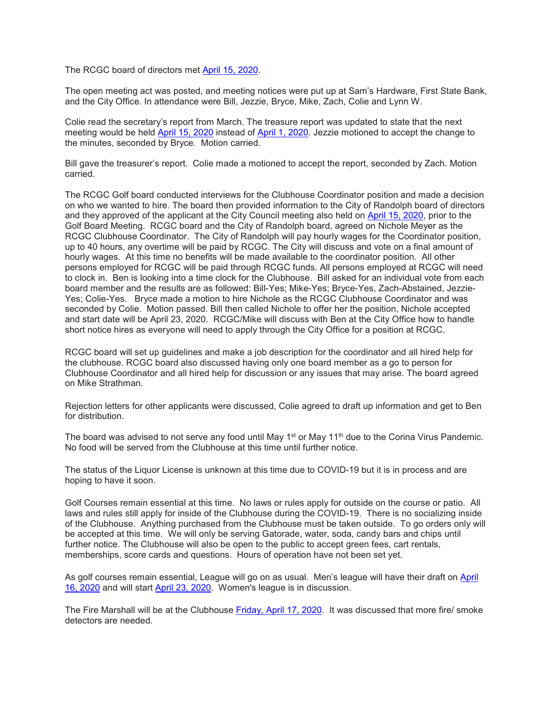The RCGC board of directors met April 15, [2020.](calendar:T2:February%2017,%202020)

The open meeting act was posted, and meeting notices were put up at Sam's Hardware, First State Bank, and the City Office. In attendance were Bill, Jezzie, Bryce, Mike, Zach, Colie and Lynn W.

Colie read the secretary's report from March. The treasure report was updated to state that the next meeting would be held April 15, [2020](calendar:T2:April%2015,%202020) instead of April 1, [2020.](calendar:T2:April%201,%202020) Jezzie motioned to accept the change to the minutes, seconded by Bryce. Motion carried.

Bill gave the treasurer's report. Colie made a motioned to accept the report, seconded by Zach. Motion carried.

The RCGC Golf board conducted interviews for the Clubhouse Coordinator position and made a decision on who we wanted to hire. The board then provided information to the City of Randolph board of directors and they approved of the applicant at the City Council meeting also held on [April 15, 2020,](calendar:T2:April%2015,%202020) prior to the Golf Board Meeting. RCGC board and the City of Randolph board, agreed on Nichole Meyer as the RCGC Clubhouse Coordinator. The City of Randolph will pay hourly wages for the Coordinator position, up to 40 hours, any overtime will be paid by RCGC. The City will discuss and vote on a final amount of hourly wages. At this time no benefits will be made available to the coordinator position. All other persons employed for RCGC will be paid through RCGC funds. All persons employed at RCGC will need to clock in. Ben is looking into a time clock for the Clubhouse. Bill asked for an individual vote from each board member and the results are as followed: Bill-Yes; Mike-Yes; Bryce-Yes, Zach-Abstained, Jezzie-Yes; Colie-Yes. Bryce made a motion to hire Nichole as the RCGC Clubhouse Coordinator and was seconded by Colie. Motion passed. Bill then called Nichole to offer her the position, Nichole accepted and start date will be April 23, 2020. RCGC/Mike will discuss with Ben at the City Office how to handle short notice hires as everyone will need to apply through the City Office for a position at RCGC.

RCGC board will set up guidelines and make a job description for the coordinator and all hired help for the clubhouse. RCGC board also discussed having only one board member as a go to person for Clubhouse Coordinator and all hired help for discussion or any issues that may arise. The board agreed on Mike Strathman.

Rejection letters for other applicants were discussed, Colie agreed to draft up information and get to Ben for distribution.

The board was advised to not serve any food until May  $1<sup>st</sup>$  or May  $1<sup>th</sup>$  due to the Corina Virus Pandemic. No food will be served from the Clubhouse at this time until further notice.

The status of the Liquor License is unknown at this time due to COVID-19 but it is in process and are hoping to have it soon.

Golf Courses remain essential at this time. No laws or rules apply for outside on the course or patio. All laws and rules still apply for inside of the Clubhouse during the COVID-19. There is no socializing inside of the Clubhouse. Anything purchased from the Clubhouse must be taken outside. To go orders only will be accepted at this time. We will only be serving Gatorade, water, soda, candy bars and chips until further notice. The Clubhouse will also be open to the public to accept green fees, cart rentals, memberships, score cards and questions. Hours of operation have not been set yet.

As golf courses remain essential, League will go on as usual. Men's league will have their draft on [April](calendar:T2:April%2016,%202020)  [16, 2020](calendar:T2:April%2016,%202020) and will start [April 23, 2020.](calendar:T2:April%2023,%202020) Women's league is in discussion.

The Fire Marshall will be at the Clubhouse [Friday,](calendar:T2:Friday,%20April%2017,%202020) April 17, 2020. It was discussed that more fire/ smoke detectors are needed.